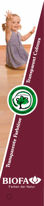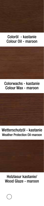#### Coloröl - kastanie Colour Oil - maroon

#### Colorwachs - kastanie Colour Wax - maroon

Wetterschutzöl - kastanie Weather Protection Oil-maroon

Holzlasur kastanie/ Wood Glaze - maroon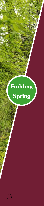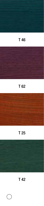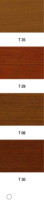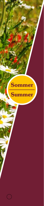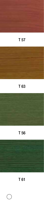

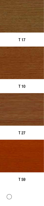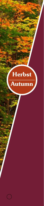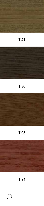

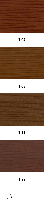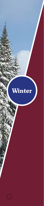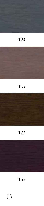

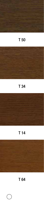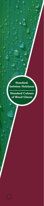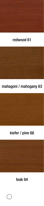#### redwood 61

# mahagoni / mahogany 63



# kiefer / pine 68

# teak 64

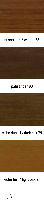#### nussbaum / walnut 65



#### palisander 66



## eiche dunkel / dark oak 79



# eiche hell / light oak 78

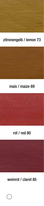# zitronengelb / lemon 73



#### mais / maize 69



#### rot / red 80

# weinrot / claret 85

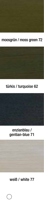## moosgrün / moss green 72



# türkis / turquoise 62



# weiß / white 77

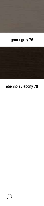

# ebenholz / ebony 70

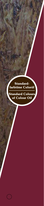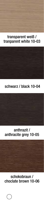#### transparent weiß / tranparent white 10-03



#### schwarz / black 10-04



schokobraun / choclate brown 10-06

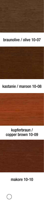#### braunolive / olive 10-07



#### kastanie / maroon 10-08



## makore 10-10

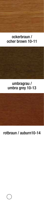#### ockerbraun / ocher brown 10-11

#### umbragrau / umbra grey 10-13



#### rotbraun / auburn10-14

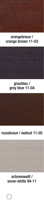#### orangebraun / orange brown 11-03

#### graublau / grey blue 11-04



## nussbraun / walnut 11-05

#### schneeweiß / snow-white 94-11

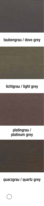## taubengrau / dove grey

# lichtgrau / light grey



## quarzgrau / quartz grey

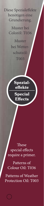Diese Spezialeffekte benötigen eine Grundierung.

> Muster bei Coloröl: T036

Muster bei Wetter schutzöl: T003



These special effects require a primer.

Patterns of Colour Oil: T036

Patterns of Weather Protection Oil: T003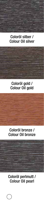#### Coloröl silber / Colour Oil silver

#### Coloröl gold / Colour Oil gold

#### Coloröl bronze / Colour Oil bronze

#### Coloröl perlmutt / Colour Oil pearl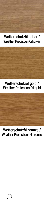#### Wetterschutzöl silber / Weather Protection Oil silver

# Wetterschutzöl gold / Weather Protection Oil gold

#### Wetterschutzöl bronze / Weather Protection Oil bronze